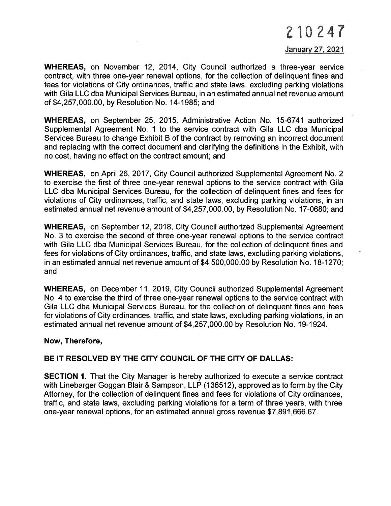# 210247

### January 27, 2021

WHEREAS, on November 12, 2014, City Council authorized a three-year service contract, with three one-year renewal options, for the collection of delinquent fines and fees for violations of City ordinances, traffic and state laws, excluding parking violations with Gila LLC dba Municipal Services Bureau, in an estimated annual net revenue amount of \$4,257,000.00, by Resolution No. 14-1985; and

WHEREAS, on September 25, 2015. Administrative Action No. 15-6741 authorized Supplemental Agreement No. 1 to the service contract with Gila LLC dba Municipal Services Bureau to change Exhibit B of the contract by removing an incorrect document and replacing with the correct document and clarifying the definitions in the Exhibit, with no cost, having no effect on the contract amount; and

WHEREAS, on April 26, 2017, City Council authorized Supplemental Agreement No. 2 to exercise the first of three one-year renewal options to the service contract with Gila LLC dba Municipal Services Bureau, for the collection of delinquent fines and fees for violations of City ordinances, traffic, and state laws, excluding parking violations, in an estimated annual net revenue amount of \$4,257,000.00, by Resolution No. 17-0680; and

WHEREAS, on September 12,2018, City Council authorized Supplemental Agreement No. 3 to exercise the second of three one-year renewal options to the service contract with Gila LLC dba Municipal Services Bureau, for the collection of delinquent fines and fees for violations of City ordinances, traffic, and state laws, excluding parking violations, in an estimated annual net revenue amount of \$4,500,000.00 by Resolution No. 18-1270; and

WHEREAS, on December 11,2019, City Council authorized Supplemental Agreement No. 4 to exercise the third of three one-year renewal options to the service contract with Gila LLC dba Municipal Services Bureau, for the collection of delinquent fines and fees for violations of City ordinances, traffic, and state laws, excluding parking violations, in an estimated annual net revenue amount of \$4,257,000.00 by Resolution No. 19-1924.

#### Now, Therefore,

## BE IT RESOLVED BY THE CITY COUNCIL OF THE CITY OF DALLAS:

**SECTION 1.** That the City Manager is hereby authorized to execute a service contract with Linebarger Goggan Blair & Sampson, LLP (136512), approved as to form by the City Attorney, for the collection of delinquent fines and fees for violations of City ordinances, traffic, and state laws, excluding parking violations for a term of three years, with three one-year renewal options, for an estimated annual gross revenue \$7,891,666.67.